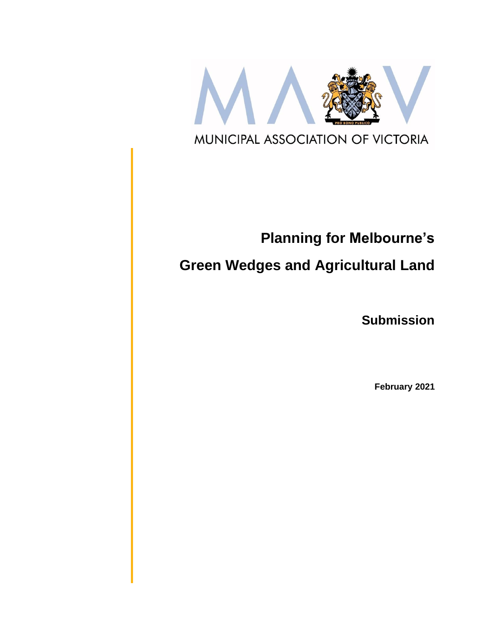

# **Planning for Melbourne's**

## **Green Wedges and Agricultural Land**

**Submission**

**February 2021**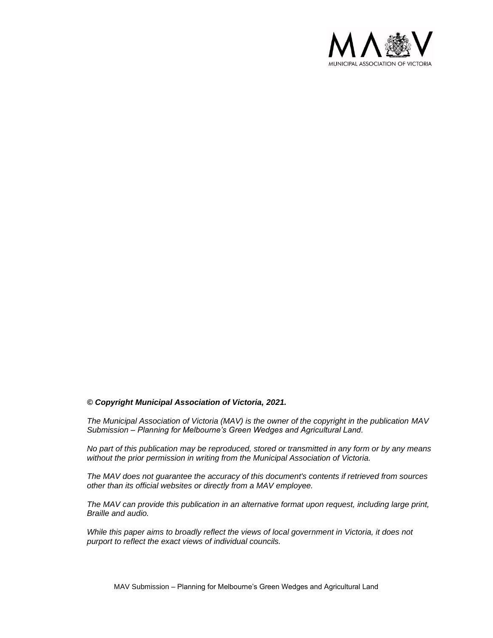

#### *© Copyright Municipal Association of Victoria, 2021.*

*The Municipal Association of Victoria (MAV) is the owner of the copyright in the publication MAV Submission – Planning for Melbourne's Green Wedges and Agricultural Land.* 

*No part of this publication may be reproduced, stored or transmitted in any form or by any means without the prior permission in writing from the Municipal Association of Victoria.* 

*The MAV does not guarantee the accuracy of this document's contents if retrieved from sources other than its official websites or directly from a MAV employee.*

*The MAV can provide this publication in an alternative format upon request, including large print, Braille and audio.* 

*While this paper aims to broadly reflect the views of local government in Victoria, it does not purport to reflect the exact views of individual councils.*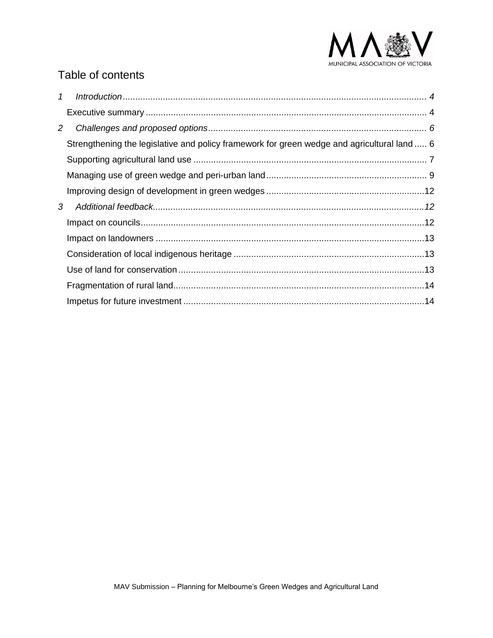

## Table of contents

| $\mathcal{I}$  |                                                                                             |  |
|----------------|---------------------------------------------------------------------------------------------|--|
|                |                                                                                             |  |
| $\overline{2}$ |                                                                                             |  |
|                | Strengthening the legislative and policy framework for green wedge and agricultural land  6 |  |
|                |                                                                                             |  |
|                |                                                                                             |  |
|                |                                                                                             |  |
| 3              |                                                                                             |  |
|                |                                                                                             |  |
|                |                                                                                             |  |
|                |                                                                                             |  |
|                |                                                                                             |  |
|                |                                                                                             |  |
|                |                                                                                             |  |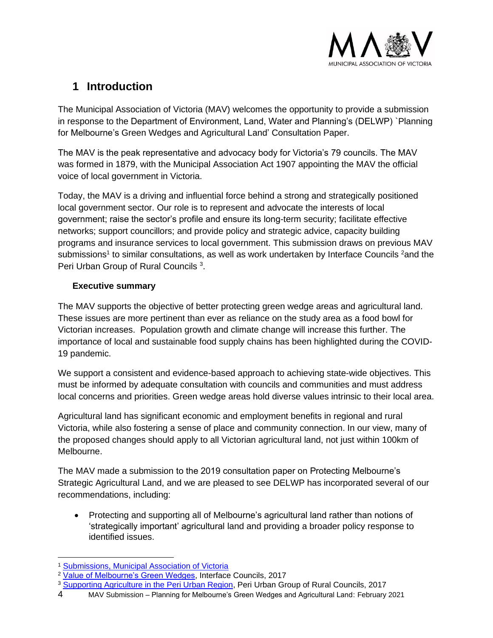

## <span id="page-3-0"></span>**1 Introduction**

The Municipal Association of Victoria (MAV) welcomes the opportunity to provide a submission in response to the Department of Environment, Land, Water and Planning's (DELWP) `Planning for Melbourne's Green Wedges and Agricultural Land' Consultation Paper.

The MAV is the peak representative and advocacy body for Victoria's 79 councils. The MAV was formed in 1879, with the Municipal Association Act 1907 appointing the MAV the official voice of local government in Victoria.

Today, the MAV is a driving and influential force behind a strong and strategically positioned local government sector. Our role is to represent and advocate the interests of local government; raise the sector's profile and ensure its long-term security; facilitate effective networks; support councillors; and provide policy and strategic advice, capacity building programs and insurance services to local government. This submission draws on previous MAV submissions<sup>1</sup> to similar consultations, as well as work undertaken by Interface Councils <sup>2</sup>and the Peri Urban Group of Rural Councils<sup>3</sup>.

#### <span id="page-3-1"></span>**Executive summary**

The MAV supports the objective of better protecting green wedge areas and agricultural land. These issues are more pertinent than ever as reliance on the study area as a food bowl for Victorian increases. Population growth and climate change will increase this further. The importance of local and sustainable food supply chains has been highlighted during the COVID-19 pandemic.

We support a consistent and evidence-based approach to achieving state-wide objectives. This must be informed by adequate consultation with councils and communities and must address local concerns and priorities. Green wedge areas hold diverse values intrinsic to their local area.

Agricultural land has significant economic and employment benefits in regional and rural Victoria, while also fostering a sense of place and community connection. In our view, many of the proposed changes should apply to all Victorian agricultural land, not just within 100km of Melbourne.

The MAV made a submission to the 2019 consultation paper on Protecting Melbourne's Strategic Agricultural Land, and we are pleased to see DELWP has incorporated several of our recommendations, including:

• Protecting and supporting all of Melbourne's agricultural land rather than notions of 'strategically important' agricultural land and providing a broader policy response to identified issues.

<sup>3</sup> [Supporting Agriculture in the Peri Urban Region,](http://pugrc.vic.gov.au/wp-content/uploads/2017/06/Peri-Urban-Agriculture.-Discussion-Paper.-June-2017-v2.pdf) Peri Urban Group of Rural Councils, 2017

<sup>1</sup> [Submissions, Municipal Association of Victoria](https://www.mav.asn.au/news-resources/publications/submissions)

<sup>&</sup>lt;sup>2</sup> [Value of Melbourne's Green Wedges,](https://docs.wixstatic.com/ugd/e90bcb_a2f9a05f4f4641c59cdbe284739c40d9.pdf) Interface Councils, 2017

<sup>4</sup> MAV Submission – Planning for Melbourne's Green Wedges and Agricultural Land: February 2021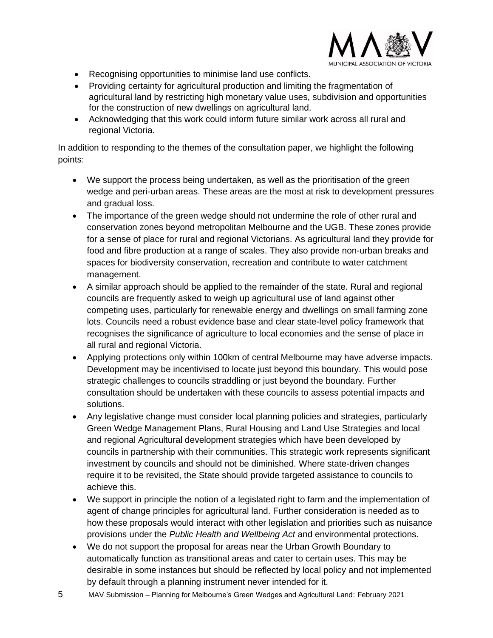

- Recognising opportunities to minimise land use conflicts.
- Providing certainty for agricultural production and limiting the fragmentation of agricultural land by restricting high monetary value uses, subdivision and opportunities for the construction of new dwellings on agricultural land.
- Acknowledging that this work could inform future similar work across all rural and regional Victoria.

In addition to responding to the themes of the consultation paper, we highlight the following points:

- We support the process being undertaken, as well as the prioritisation of the green wedge and peri-urban areas. These areas are the most at risk to development pressures and gradual loss.
- The importance of the green wedge should not undermine the role of other rural and conservation zones beyond metropolitan Melbourne and the UGB. These zones provide for a sense of place for rural and regional Victorians. As agricultural land they provide for food and fibre production at a range of scales. They also provide non-urban breaks and spaces for biodiversity conservation, recreation and contribute to water catchment management.
- A similar approach should be applied to the remainder of the state. Rural and regional councils are frequently asked to weigh up agricultural use of land against other competing uses, particularly for renewable energy and dwellings on small farming zone lots. Councils need a robust evidence base and clear state-level policy framework that recognises the significance of agriculture to local economies and the sense of place in all rural and regional Victoria.
- Applying protections only within 100km of central Melbourne may have adverse impacts. Development may be incentivised to locate just beyond this boundary. This would pose strategic challenges to councils straddling or just beyond the boundary. Further consultation should be undertaken with these councils to assess potential impacts and solutions.
- Any legislative change must consider local planning policies and strategies, particularly Green Wedge Management Plans, Rural Housing and Land Use Strategies and local and regional Agricultural development strategies which have been developed by councils in partnership with their communities. This strategic work represents significant investment by councils and should not be diminished. Where state-driven changes require it to be revisited, the State should provide targeted assistance to councils to achieve this.
- We support in principle the notion of a legislated right to farm and the implementation of agent of change principles for agricultural land. Further consideration is needed as to how these proposals would interact with other legislation and priorities such as nuisance provisions under the *Public Health and Wellbeing Act* and environmental protections.
- We do not support the proposal for areas near the Urban Growth Boundary to automatically function as transitional areas and cater to certain uses. This may be desirable in some instances but should be reflected by local policy and not implemented by default through a planning instrument never intended for it.
- 5 MAV Submission Planning for Melbourne's Green Wedges and Agricultural Land: February 2021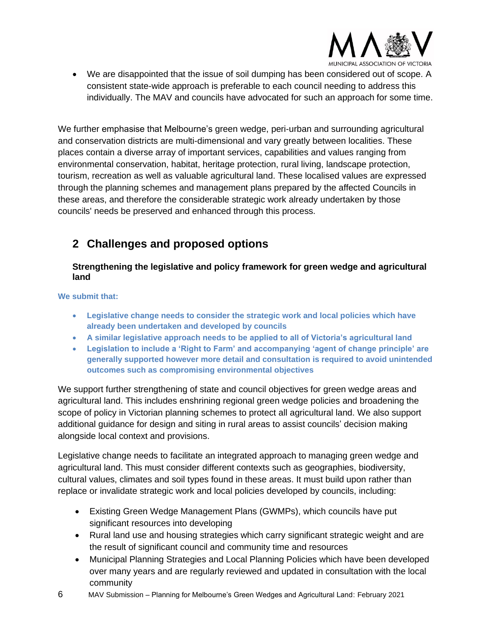

• We are disappointed that the issue of soil dumping has been considered out of scope. A consistent state-wide approach is preferable to each council needing to address this individually. The MAV and councils have advocated for such an approach for some time.

We further emphasise that Melbourne's green wedge, peri-urban and surrounding agricultural and conservation districts are multi-dimensional and vary greatly between localities. These places contain a diverse array of important services, capabilities and values ranging from environmental conservation, habitat, heritage protection, rural living, landscape protection, tourism, recreation as well as valuable agricultural land. These localised values are expressed through the planning schemes and management plans prepared by the affected Councils in these areas, and therefore the considerable strategic work already undertaken by those councils' needs be preserved and enhanced through this process.

## <span id="page-5-0"></span>**2 Challenges and proposed options**

#### <span id="page-5-1"></span>**Strengthening the legislative and policy framework for green wedge and agricultural land**

**We submit that:** 

- **Legislative change needs to consider the strategic work and local policies which have already been undertaken and developed by councils**
- **A similar legislative approach needs to be applied to all of Victoria's agricultural land**
- **Legislation to include a 'Right to Farm' and accompanying 'agent of change principle' are generally supported however more detail and consultation is required to avoid unintended outcomes such as compromising environmental objectives**

We support further strengthening of state and council objectives for green wedge areas and agricultural land. This includes enshrining regional green wedge policies and broadening the scope of policy in Victorian planning schemes to protect all agricultural land. We also support additional guidance for design and siting in rural areas to assist councils' decision making alongside local context and provisions.

Legislative change needs to facilitate an integrated approach to managing green wedge and agricultural land. This must consider different contexts such as geographies, biodiversity, cultural values, climates and soil types found in these areas. It must build upon rather than replace or invalidate strategic work and local policies developed by councils, including:

- Existing Green Wedge Management Plans (GWMPs), which councils have put significant resources into developing
- Rural land use and housing strategies which carry significant strategic weight and are the result of significant council and community time and resources
- Municipal Planning Strategies and Local Planning Policies which have been developed over many years and are regularly reviewed and updated in consultation with the local community
- 6 MAV Submission Planning for Melbourne's Green Wedges and Agricultural Land: February 2021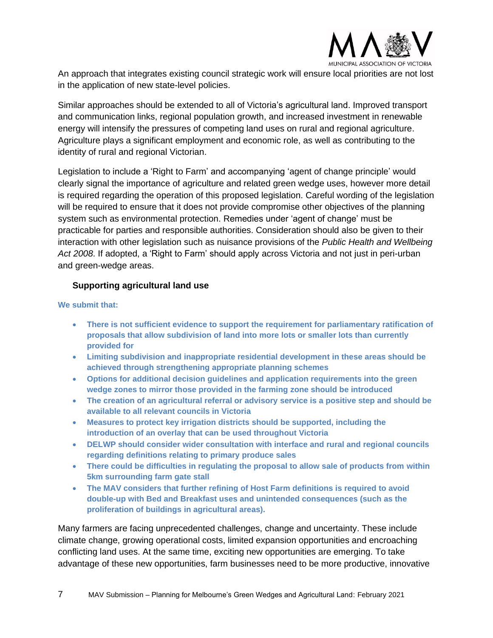

An approach that integrates existing council strategic work will ensure local priorities are not lost in the application of new state-level policies.

Similar approaches should be extended to all of Victoria's agricultural land. Improved transport and communication links, regional population growth, and increased investment in renewable energy will intensify the pressures of competing land uses on rural and regional agriculture. Agriculture plays a significant employment and economic role, as well as contributing to the identity of rural and regional Victorian.

Legislation to include a 'Right to Farm' and accompanying 'agent of change principle' would clearly signal the importance of agriculture and related green wedge uses, however more detail is required regarding the operation of this proposed legislation. Careful wording of the legislation will be required to ensure that it does not provide compromise other objectives of the planning system such as environmental protection. Remedies under 'agent of change' must be practicable for parties and responsible authorities. Consideration should also be given to their interaction with other legislation such as nuisance provisions of the *Public Health and Wellbeing Act 2008*. If adopted, a 'Right to Farm' should apply across Victoria and not just in peri-urban and green-wedge areas.

#### <span id="page-6-0"></span>**Supporting agricultural land use**

#### **We submit that:**

- **There is not sufficient evidence to support the requirement for parliamentary ratification of proposals that allow subdivision of land into more lots or smaller lots than currently provided for**
- **Limiting subdivision and inappropriate residential development in these areas should be achieved through strengthening appropriate planning schemes**
- **Options for additional decision guidelines and application requirements into the green wedge zones to mirror those provided in the farming zone should be introduced**
- **The creation of an agricultural referral or advisory service is a positive step and should be available to all relevant councils in Victoria**
- **Measures to protect key irrigation districts should be supported, including the introduction of an overlay that can be used throughout Victoria**
- **DELWP should consider wider consultation with interface and rural and regional councils regarding definitions relating to primary produce sales**
- **There could be difficulties in regulating the proposal to allow sale of products from within 5km surrounding farm gate stall**
- **The MAV considers that further refining of Host Farm definitions is required to avoid double-up with Bed and Breakfast uses and unintended consequences (such as the proliferation of buildings in agricultural areas).**

Many farmers are facing unprecedented challenges, change and uncertainty. These include climate change, growing operational costs, limited expansion opportunities and encroaching conflicting land uses. At the same time, exciting new opportunities are emerging. To take advantage of these new opportunities, farm businesses need to be more productive, innovative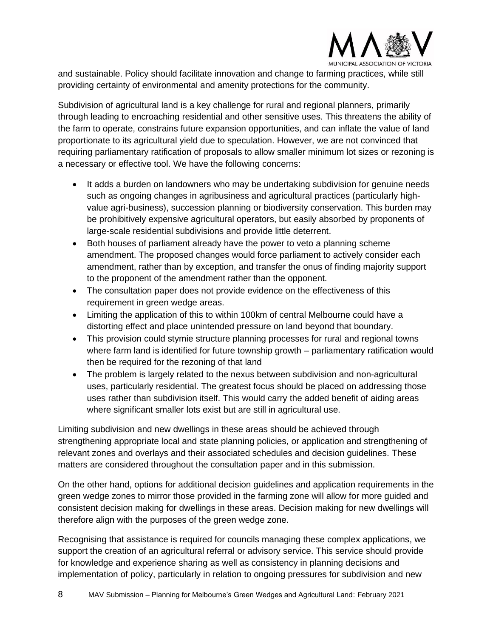

and sustainable. Policy should facilitate innovation and change to farming practices, while still providing certainty of environmental and amenity protections for the community.

Subdivision of agricultural land is a key challenge for rural and regional planners, primarily through leading to encroaching residential and other sensitive uses. This threatens the ability of the farm to operate, constrains future expansion opportunities, and can inflate the value of land proportionate to its agricultural yield due to speculation. However, we are not convinced that requiring parliamentary ratification of proposals to allow smaller minimum lot sizes or rezoning is a necessary or effective tool. We have the following concerns:

- It adds a burden on landowners who may be undertaking subdivision for genuine needs such as ongoing changes in agribusiness and agricultural practices (particularly highvalue agri-business), succession planning or biodiversity conservation. This burden may be prohibitively expensive agricultural operators, but easily absorbed by proponents of large-scale residential subdivisions and provide little deterrent.
- Both houses of parliament already have the power to veto a planning scheme amendment. The proposed changes would force parliament to actively consider each amendment, rather than by exception, and transfer the onus of finding majority support to the proponent of the amendment rather than the opponent.
- The consultation paper does not provide evidence on the effectiveness of this requirement in green wedge areas.
- Limiting the application of this to within 100km of central Melbourne could have a distorting effect and place unintended pressure on land beyond that boundary.
- This provision could stymie structure planning processes for rural and regional towns where farm land is identified for future township growth – parliamentary ratification would then be required for the rezoning of that land
- The problem is largely related to the nexus between subdivision and non-agricultural uses, particularly residential. The greatest focus should be placed on addressing those uses rather than subdivision itself. This would carry the added benefit of aiding areas where significant smaller lots exist but are still in agricultural use.

Limiting subdivision and new dwellings in these areas should be achieved through strengthening appropriate local and state planning policies, or application and strengthening of relevant zones and overlays and their associated schedules and decision guidelines. These matters are considered throughout the consultation paper and in this submission.

On the other hand, options for additional decision guidelines and application requirements in the green wedge zones to mirror those provided in the farming zone will allow for more guided and consistent decision making for dwellings in these areas. Decision making for new dwellings will therefore align with the purposes of the green wedge zone.

Recognising that assistance is required for councils managing these complex applications, we support the creation of an agricultural referral or advisory service. This service should provide for knowledge and experience sharing as well as consistency in planning decisions and implementation of policy, particularly in relation to ongoing pressures for subdivision and new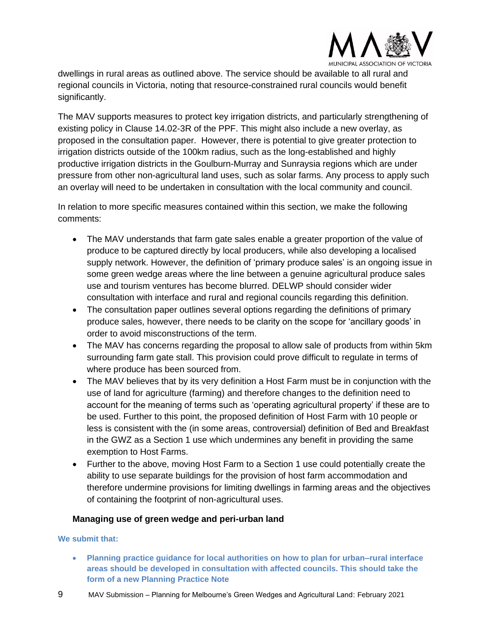

dwellings in rural areas as outlined above. The service should be available to all rural and regional councils in Victoria, noting that resource-constrained rural councils would benefit significantly.

The MAV supports measures to protect key irrigation districts, and particularly strengthening of existing policy in Clause 14.02-3R of the PPF. This might also include a new overlay, as proposed in the consultation paper. However, there is potential to give greater protection to irrigation districts outside of the 100km radius, such as the long-established and highly productive irrigation districts in the Goulburn-Murray and Sunraysia regions which are under pressure from other non-agricultural land uses, such as solar farms. Any process to apply such an overlay will need to be undertaken in consultation with the local community and council.

In relation to more specific measures contained within this section, we make the following comments:

- The MAV understands that farm gate sales enable a greater proportion of the value of produce to be captured directly by local producers, while also developing a localised supply network. However, the definition of 'primary produce sales' is an ongoing issue in some green wedge areas where the line between a genuine agricultural produce sales use and tourism ventures has become blurred. DELWP should consider wider consultation with interface and rural and regional councils regarding this definition.
- The consultation paper outlines several options regarding the definitions of primary produce sales, however, there needs to be clarity on the scope for 'ancillary goods' in order to avoid misconstructions of the term.
- The MAV has concerns regarding the proposal to allow sale of products from within 5km surrounding farm gate stall. This provision could prove difficult to regulate in terms of where produce has been sourced from.
- The MAV believes that by its very definition a Host Farm must be in conjunction with the use of land for agriculture (farming) and therefore changes to the definition need to account for the meaning of terms such as 'operating agricultural property' if these are to be used. Further to this point, the proposed definition of Host Farm with 10 people or less is consistent with the (in some areas, controversial) definition of Bed and Breakfast in the GWZ as a Section 1 use which undermines any benefit in providing the same exemption to Host Farms.
- Further to the above, moving Host Farm to a Section 1 use could potentially create the ability to use separate buildings for the provision of host farm accommodation and therefore undermine provisions for limiting dwellings in farming areas and the objectives of containing the footprint of non-agricultural uses.

#### <span id="page-8-0"></span>**Managing use of green wedge and peri-urban land**

**We submit that:** 

- **Planning practice guidance for local authorities on how to plan for urban–rural interface areas should be developed in consultation with affected councils. This should take the form of a new Planning Practice Note**
- 9 MAV Submission Planning for Melbourne's Green Wedges and Agricultural Land: February 2021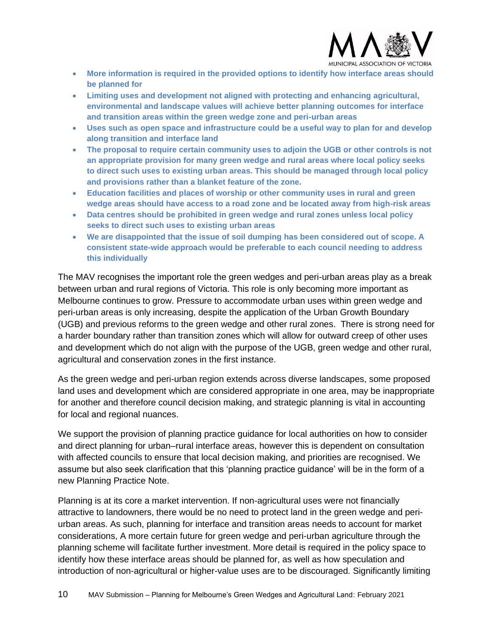

- **More information is required in the provided options to identify how interface areas should be planned for**
- **Limiting uses and development not aligned with protecting and enhancing agricultural, environmental and landscape values will achieve better planning outcomes for interface and transition areas within the green wedge zone and peri-urban areas**
- **Uses such as open space and infrastructure could be a useful way to plan for and develop along transition and interface land**
- **The proposal to require certain community uses to adjoin the UGB or other controls is not an appropriate provision for many green wedge and rural areas where local policy seeks to direct such uses to existing urban areas. This should be managed through local policy and provisions rather than a blanket feature of the zone.**
- **Education facilities and places of worship or other community uses in rural and green wedge areas should have access to a road zone and be located away from high-risk areas**
- **Data centres should be prohibited in green wedge and rural zones unless local policy seeks to direct such uses to existing urban areas**
- **We are disappointed that the issue of soil dumping has been considered out of scope. A consistent state-wide approach would be preferable to each council needing to address this individually**

The MAV recognises the important role the green wedges and peri-urban areas play as a break between urban and rural regions of Victoria. This role is only becoming more important as Melbourne continues to grow. Pressure to accommodate urban uses within green wedge and peri-urban areas is only increasing, despite the application of the Urban Growth Boundary (UGB) and previous reforms to the green wedge and other rural zones. There is strong need for a harder boundary rather than transition zones which will allow for outward creep of other uses and development which do not align with the purpose of the UGB, green wedge and other rural, agricultural and conservation zones in the first instance.

As the green wedge and peri-urban region extends across diverse landscapes, some proposed land uses and development which are considered appropriate in one area, may be inappropriate for another and therefore council decision making, and strategic planning is vital in accounting for local and regional nuances.

We support the provision of planning practice guidance for local authorities on how to consider and direct planning for urban–rural interface areas, however this is dependent on consultation with affected councils to ensure that local decision making, and priorities are recognised. We assume but also seek clarification that this 'planning practice guidance' will be in the form of a new Planning Practice Note.

Planning is at its core a market intervention. If non-agricultural uses were not financially attractive to landowners, there would be no need to protect land in the green wedge and periurban areas. As such, planning for interface and transition areas needs to account for market considerations, A more certain future for green wedge and peri-urban agriculture through the planning scheme will facilitate further investment. More detail is required in the policy space to identify how these interface areas should be planned for, as well as how speculation and introduction of non-agricultural or higher-value uses are to be discouraged. Significantly limiting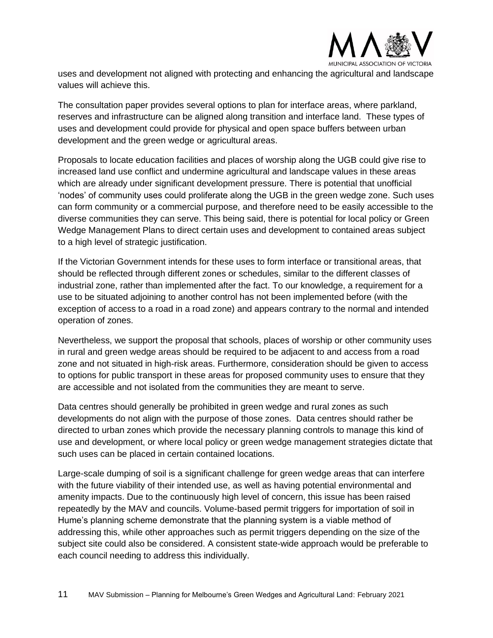

uses and development not aligned with protecting and enhancing the agricultural and landscape values will achieve this.

The consultation paper provides several options to plan for interface areas, where parkland, reserves and infrastructure can be aligned along transition and interface land. These types of uses and development could provide for physical and open space buffers between urban development and the green wedge or agricultural areas.

Proposals to locate education facilities and places of worship along the UGB could give rise to increased land use conflict and undermine agricultural and landscape values in these areas which are already under significant development pressure. There is potential that unofficial 'nodes' of community uses could proliferate along the UGB in the green wedge zone. Such uses can form community or a commercial purpose, and therefore need to be easily accessible to the diverse communities they can serve. This being said, there is potential for local policy or Green Wedge Management Plans to direct certain uses and development to contained areas subject to a high level of strategic justification.

If the Victorian Government intends for these uses to form interface or transitional areas, that should be reflected through different zones or schedules, similar to the different classes of industrial zone, rather than implemented after the fact. To our knowledge, a requirement for a use to be situated adjoining to another control has not been implemented before (with the exception of access to a road in a road zone) and appears contrary to the normal and intended operation of zones.

Nevertheless, we support the proposal that schools, places of worship or other community uses in rural and green wedge areas should be required to be adjacent to and access from a road zone and not situated in high-risk areas. Furthermore, consideration should be given to access to options for public transport in these areas for proposed community uses to ensure that they are accessible and not isolated from the communities they are meant to serve.

Data centres should generally be prohibited in green wedge and rural zones as such developments do not align with the purpose of those zones. Data centres should rather be directed to urban zones which provide the necessary planning controls to manage this kind of use and development, or where local policy or green wedge management strategies dictate that such uses can be placed in certain contained locations.

Large-scale dumping of soil is a significant challenge for green wedge areas that can interfere with the future viability of their intended use, as well as having potential environmental and amenity impacts. Due to the continuously high level of concern, this issue has been raised repeatedly by the MAV and councils. Volume-based permit triggers for importation of soil in Hume's planning scheme demonstrate that the planning system is a viable method of addressing this, while other approaches such as permit triggers depending on the size of the subject site could also be considered. A consistent state-wide approach would be preferable to each council needing to address this individually.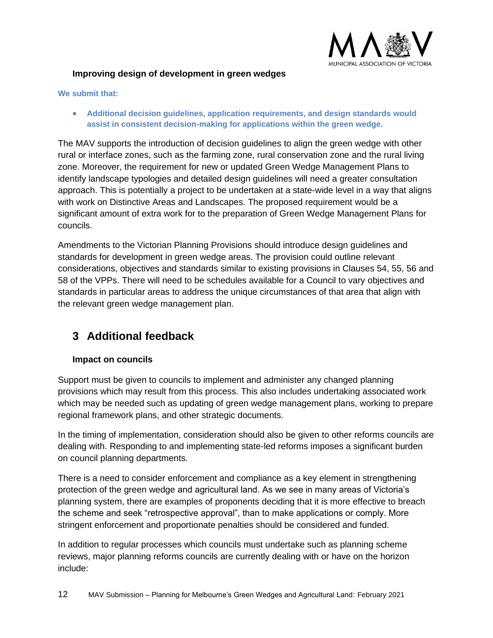

#### <span id="page-11-0"></span>**Improving design of development in green wedges**

#### **We submit that:**

• **Additional decision guidelines, application requirements, and design standards would assist in consistent decision-making for applications within the green wedge.**

The MAV supports the introduction of decision guidelines to align the green wedge with other rural or interface zones, such as the farming zone, rural conservation zone and the rural living zone. Moreover, the requirement for new or updated Green Wedge Management Plans to identify landscape typologies and detailed design guidelines will need a greater consultation approach. This is potentially a project to be undertaken at a state-wide level in a way that aligns with work on Distinctive Areas and Landscapes. The proposed requirement would be a significant amount of extra work for to the preparation of Green Wedge Management Plans for councils.

Amendments to the Victorian Planning Provisions should introduce design guidelines and standards for development in green wedge areas. The provision could outline relevant considerations, objectives and standards similar to existing provisions in Clauses 54, 55, 56 and 58 of the VPPs. There will need to be schedules available for a Council to vary objectives and standards in particular areas to address the unique circumstances of that area that align with the relevant green wedge management plan.

### <span id="page-11-1"></span>**3 Additional feedback**

#### <span id="page-11-2"></span>**Impact on councils**

Support must be given to councils to implement and administer any changed planning provisions which may result from this process. This also includes undertaking associated work which may be needed such as updating of green wedge management plans, working to prepare regional framework plans, and other strategic documents.

In the timing of implementation, consideration should also be given to other reforms councils are dealing with. Responding to and implementing state-led reforms imposes a significant burden on council planning departments.

There is a need to consider enforcement and compliance as a key element in strengthening protection of the green wedge and agricultural land. As we see in many areas of Victoria's planning system, there are examples of proponents deciding that it is more effective to breach the scheme and seek "retrospective approval", than to make applications or comply. More stringent enforcement and proportionate penalties should be considered and funded.

In addition to regular processes which councils must undertake such as planning scheme reviews, major planning reforms councils are currently dealing with or have on the horizon include: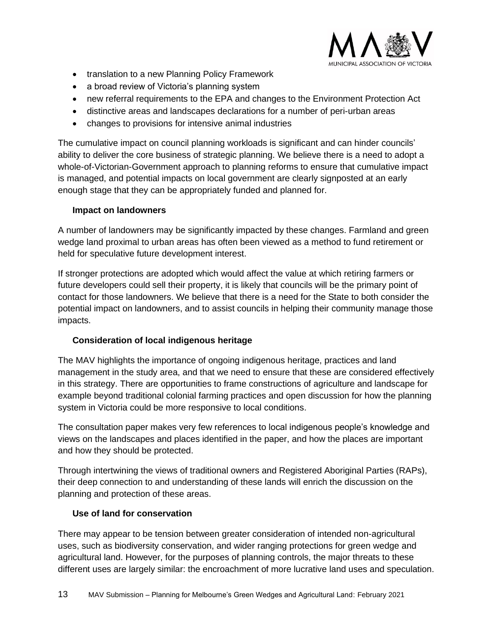

- translation to a new Planning Policy Framework
- a broad review of Victoria's planning system
- new referral requirements to the EPA and changes to the Environment Protection Act
- distinctive areas and landscapes declarations for a number of peri-urban areas
- changes to provisions for intensive animal industries

The cumulative impact on council planning workloads is significant and can hinder councils' ability to deliver the core business of strategic planning. We believe there is a need to adopt a whole-of-Victorian-Government approach to planning reforms to ensure that cumulative impact is managed, and potential impacts on local government are clearly signposted at an early enough stage that they can be appropriately funded and planned for.

#### <span id="page-12-0"></span>**Impact on landowners**

A number of landowners may be significantly impacted by these changes. Farmland and green wedge land proximal to urban areas has often been viewed as a method to fund retirement or held for speculative future development interest.

If stronger protections are adopted which would affect the value at which retiring farmers or future developers could sell their property, it is likely that councils will be the primary point of contact for those landowners. We believe that there is a need for the State to both consider the potential impact on landowners, and to assist councils in helping their community manage those impacts.

#### <span id="page-12-1"></span>**Consideration of local indigenous heritage**

The MAV highlights the importance of ongoing indigenous heritage, practices and land management in the study area, and that we need to ensure that these are considered effectively in this strategy. There are opportunities to frame constructions of agriculture and landscape for example beyond traditional colonial farming practices and open discussion for how the planning system in Victoria could be more responsive to local conditions.

The consultation paper makes very few references to local indigenous people's knowledge and views on the landscapes and places identified in the paper, and how the places are important and how they should be protected.

Through intertwining the views of traditional owners and Registered Aboriginal Parties (RAPs), their deep connection to and understanding of these lands will enrich the discussion on the planning and protection of these areas.

#### <span id="page-12-2"></span>**Use of land for conservation**

There may appear to be tension between greater consideration of intended non-agricultural uses, such as biodiversity conservation, and wider ranging protections for green wedge and agricultural land. However, for the purposes of planning controls, the major threats to these different uses are largely similar: the encroachment of more lucrative land uses and speculation.